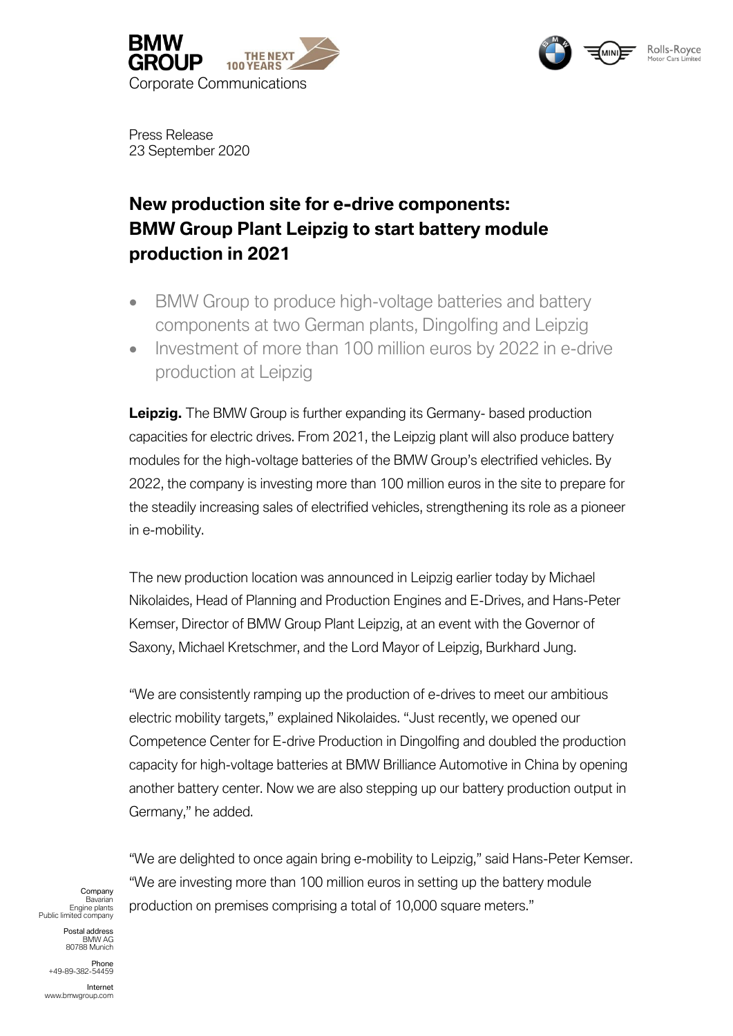





Press Release 23 September 2020

# **New production site for e-drive components: BMW Group Plant Leipzig to start battery module production in 2021**

- BMW Group to produce high-voltage batteries and battery components at two German plants, Dingolfing and Leipzig
- Investment of more than 100 million euros by 2022 in e-drive production at Leipzig

Leipzig. The BMW Group is further expanding its Germany- based production capacities for electric drives. From 2021, the Leipzig plant will also produce battery modules for the high-voltage batteries of the BMW Group's electrified vehicles. By 2022, the company is investing more than 100 million euros in the site to prepare for the steadily increasing sales of electrified vehicles, strengthening its role as a pioneer in e-mobility.

The new production location was announced in Leipzig earlier today by Michael Nikolaides, Head of Planning and Production Engines and E-Drives, and Hans-Peter Kemser, Director of BMW Group Plant Leipzig, at an event with the Governor of Saxony, Michael Kretschmer, and the Lord Mayor of Leipzig, Burkhard Jung.

"We are consistently ramping up the production of e-drives to meet our ambitious electric mobility targets," explained Nikolaides. "Just recently, we opened our Competence Center for E-drive Production in Dingolfing and doubled the production capacity for high-voltage batteries at BMW Brilliance Automotive in China by opening another battery center. Now we are also stepping up our battery production output in Germany," he added.

"We are delighted to once again bring e-mobility to Leipzig," said Hans-Peter Kemser. "We are investing more than 100 million euros in setting up the battery module production on premises comprising a total of 10,000 square meters."

Company Bavarian Engine plants Public limited company

> Postal address BMW AG 80788 Munich

Phone +49-89-382-54459

Internet www.bmwgroup.com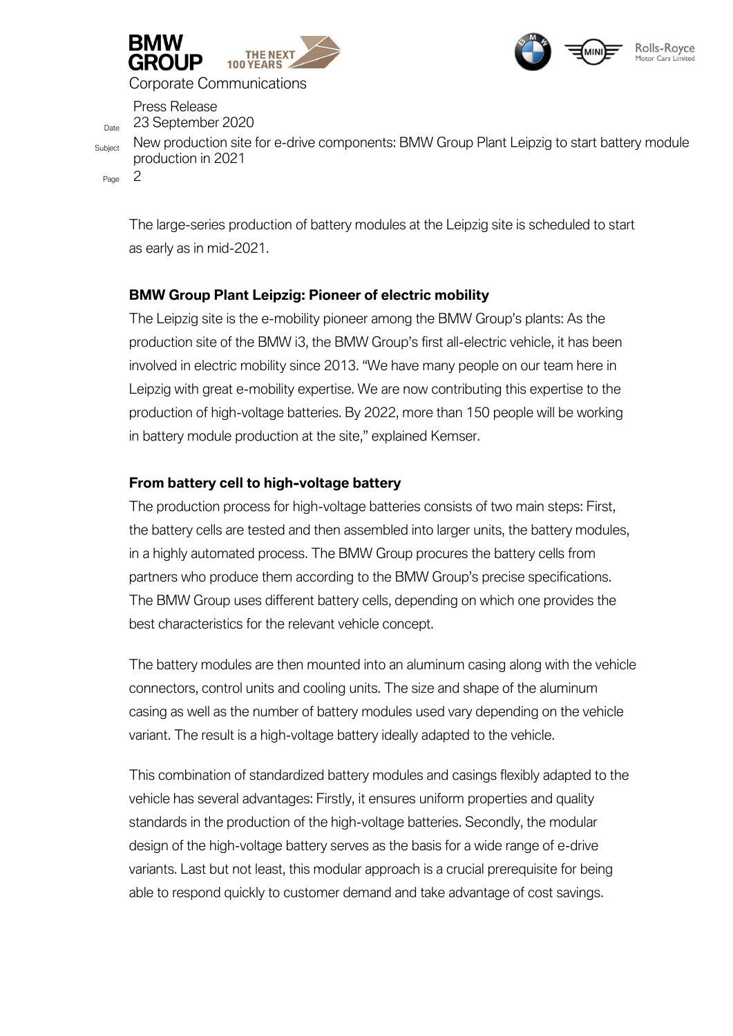



Corporate Communications

Press Release <sub>Date</sub> 23 September 2020

Subject New production site for e-drive components: BMW Group Plant Leipzig to start battery module production in 2021

Page 2

The large-series production of battery modules at the Leipzig site is scheduled to start as early as in mid-2021.

## **BMW Group Plant Leipzig: Pioneer of electric mobility**

The Leipzig site is the e-mobility pioneer among the BMW Group's plants: As the production site of the BMW i3, the BMW Group's first all-electric vehicle, it has been involved in electric mobility since 2013. "We have many people on our team here in Leipzig with great e-mobility expertise. We are now contributing this expertise to the production of high-voltage batteries. By 2022, more than 150 people will be working in battery module production at the site," explained Kemser.

### **From battery cell to high-voltage battery**

The production process for high-voltage batteries consists of two main steps: First, the battery cells are tested and then assembled into larger units, the battery modules, in a highly automated process. The BMW Group procures the battery cells from partners who produce them according to the BMW Group's precise specifications. The BMW Group uses different battery cells, depending on which one provides the best characteristics for the relevant vehicle concept.

The battery modules are then mounted into an aluminum casing along with the vehicle connectors, control units and cooling units. The size and shape of the aluminum casing as well as the number of battery modules used vary depending on the vehicle variant. The result is a high-voltage battery ideally adapted to the vehicle.

This combination of standardized battery modules and casings flexibly adapted to the vehicle has several advantages: Firstly, it ensures uniform properties and quality standards in the production of the high-voltage batteries. Secondly, the modular design of the high-voltage battery serves as the basis for a wide range of e-drive variants. Last but not least, this modular approach is a crucial prerequisite for being able to respond quickly to customer demand and take advantage of cost savings.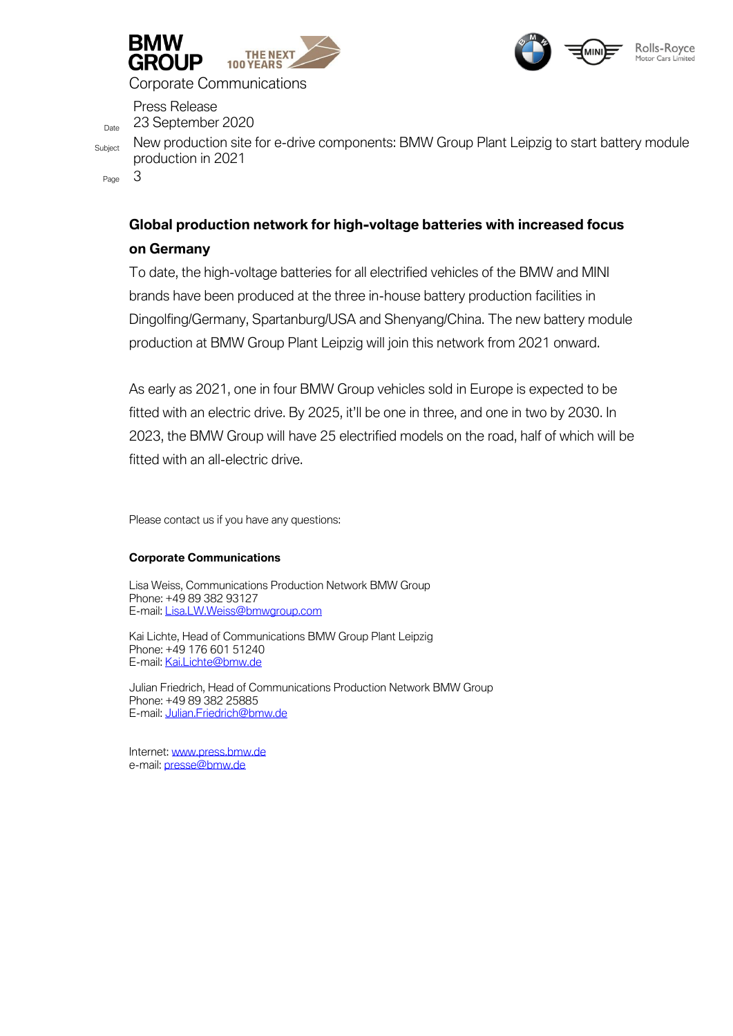



Corporate Communications

Press Release <sub>Date</sub> 23 September 2020

Subject New production site for e-drive components: BMW Group Plant Leipzig to start battery module production in 2021

Page 3

# **Global production network for high-voltage batteries with increased focus on Germany**

To date, the high-voltage batteries for all electrified vehicles of the BMW and MINI brands have been produced at the three in-house battery production facilities in Dingolfing/Germany, Spartanburg/USA and Shenyang/China. The new battery module production at BMW Group Plant Leipzig will join this network from 2021 onward.

As early as 2021, one in four BMW Group vehicles sold in Europe is expected to be fitted with an electric drive. By 2025, it'll be one in three, and one in two by 2030. In 2023, the BMW Group will have 25 electrified models on the road, half of which will be fitted with an all-electric drive.

Please contact us if you have any questions:

### **Corporate Communications**

Lisa Weiss, Communications Production Network BMW Group Phone: +49 89 382 93127 E-mail[: Lisa.LW.Weiss@bmwgroup.com](mailto:Lisa.LW.Weiss@bmwgroup.com)

Kai Lichte, Head of Communications BMW Group Plant Leipzig Phone: +49 176 601 51240 E-mail[: Kai.Lichte@bmw.de](mailto:Kai.Lichte@bmw.de)

Julian Friedrich, Head of Communications Production Network BMW Group Phone: +49 89 382 25885 E-mail[: Julian.Friedrich@bmw.de](mailto:Julian.Friedrich@bmw.de)

Internet[: www.press.bmw.de](http://www.press.bmw.de/) e-mail[: presse@bmw.de](mailto:presse@bmw.de)